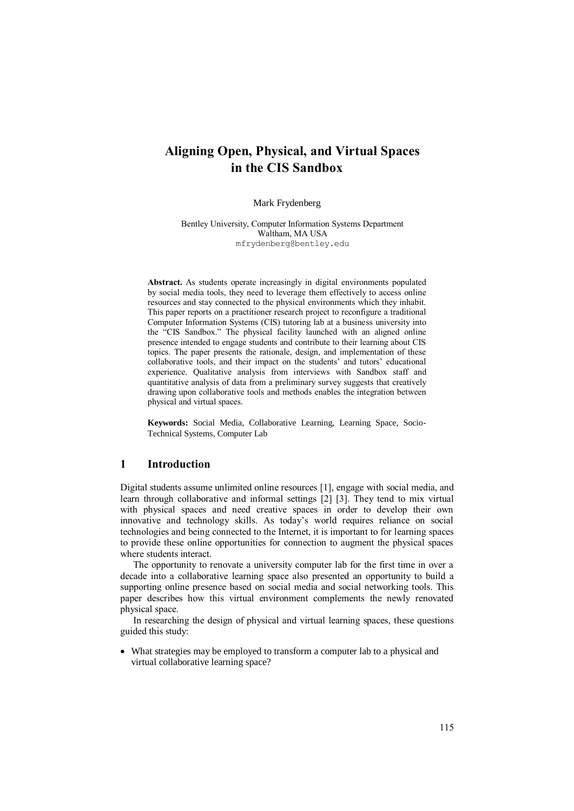# **Aligning Open, Physical, and Virtual Spaces in the CIS Sandbox**

#### Mark Frydenberg

Bentley University, Computer Information Systems Department Waltham, MA USA mfrydenberg@bentley.edu

**Abstract.** As students operate increasingly in digital environments populated by social media tools, they need to leverage them effectively to access online resources and stay connected to the physical environments which they inhabit. This paper reports on a practitioner research project to reconfigure a traditional Computer Information Systems (CIS) tutoring lab at a business university into the "CIS Sandbox." The physical facility launched with an aligned online presence intended to engage students and contribute to their learning about CIS topics. The paper presents the rationale, design, and implementation of these collaborative tools, and their impact on the students' and tutors' educational experience. Qualitative analysis from interviews with Sandbox staff and quantitative analysis of data from a preliminary survey suggests that creatively drawing upon collaborative tools and methods enables the integration between physical and virtual spaces.

**Keywords:** Social Media, Collaborative Learning, Learning Space, Socio-Technical Systems, Computer Lab

## **1 Introduction**

Digital students assume unlimited online resources [\[1\]](#page-9-0), engage with social media, and learn through collaborative and informal settings [\[2\]](#page-9-1) [\[3\]](#page-9-2). They tend to mix virtual with physical spaces and need creative spaces in order to develop their own innovative and technology skills. As today's world requires reliance on social technologies and being connected to the Internet, it is important to for learning spaces to provide these online opportunities for connection to augment the physical spaces where students interact.

The opportunity to renovate a university computer lab for the first time in over a decade into a collaborative learning space also presented an opportunity to build a supporting online presence based on social media and social networking tools. This paper describes how this virtual environment complements the newly renovated physical space.

In researching the design of physical and virtual learning spaces, these questions guided this study:

 What strategies may be employed to transform a computer lab to a physical and virtual collaborative learning space?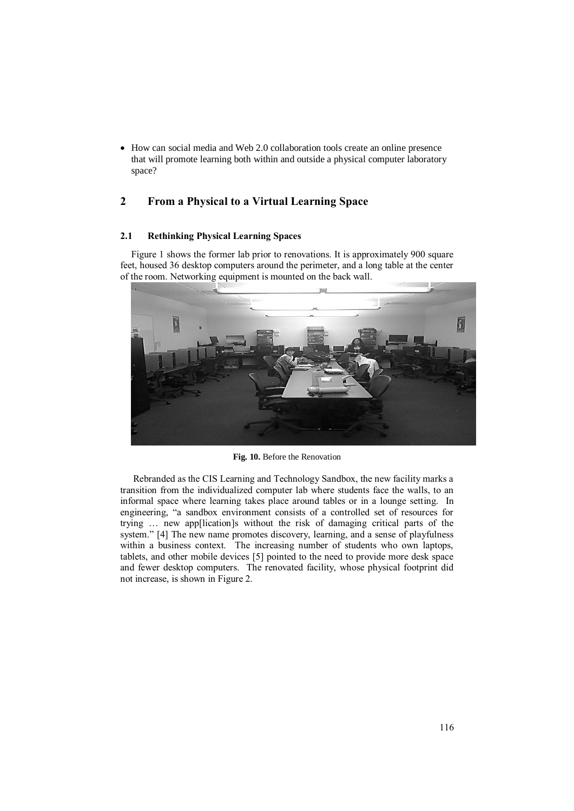How can social media and Web 2.0 collaboration tools create an online presence that will promote learning both within and outside a physical computer laboratory space?

## **2 From a Physical to a Virtual Learning Space**

## **2.1 Rethinking Physical Learning Spaces**

Figure 1 shows the former lab prior to renovations. It is approximately 900 square feet, housed 36 desktop computers around the perimeter, and a long table at the center of the room. Networking equipment is mounted on the back wall.



**Fig. 10.** Before the Renovation

Rebranded as the CIS Learning and Technology Sandbox, the new facility marks a transition from the individualized computer lab where students face the walls, to an informal space where learning takes place around tables or in a lounge setting. In engineering, "a sandbox environment consists of a controlled set of resources for trying … new app[lication]s without the risk of damaging critical parts of the system." [\[4\]](#page-9-3) The new name promotes discovery, learning, and a sense of playfulness within a business context. The increasing number of students who own laptops, tablets, and other mobile devices [\[5\]](#page-9-4) pointed to the need to provide more desk space and fewer desktop computers. The renovated facility, whose physical footprint did not increase, is shown in Figure 2.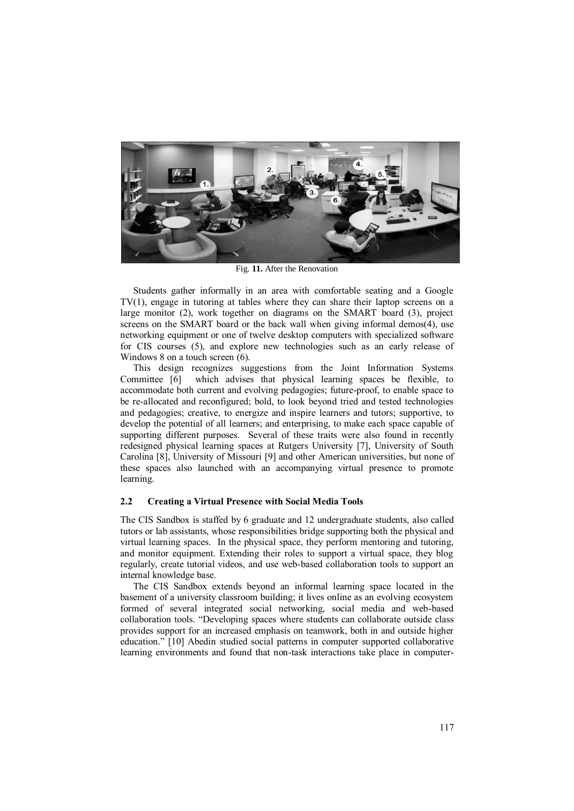

Fig. **11.** After the Renovation

Students gather informally in an area with comfortable seating and a Google TV(1), engage in tutoring at tables where they can share their laptop screens on a large monitor (2), work together on diagrams on the SMART board (3), project screens on the SMART board or the back wall when giving informal demos(4), use networking equipment or one of twelve desktop computers with specialized software for CIS courses (5), and explore new technologies such as an early release of Windows 8 on a touch screen (6).

This design recognizes suggestions from the Joint Information Systems Committee [\[6\]](#page-9-5) which advises that physical learning spaces be flexible, to accommodate both current and evolving pedagogies; future-proof, to enable space to be re-allocated and reconfigured; bold, to look beyond tried and tested technologies and pedagogies; creative, to energize and inspire learners and tutors; supportive, to develop the potential of all learners; and enterprising, to make each space capable of supporting different purposes. Several of these traits were also found in recently redesigned physical learning spaces at Rutgers University [\[7\]](#page-9-6), University of South Carolina [\[8\]](#page-9-7), University of Missouri [\[9\]](#page-9-8) and other American universities, but none of these spaces also launched with an accompanying virtual presence to promote learning.

#### **2.2 Creating a Virtual Presence with Social Media Tools**

The CIS Sandbox is staffed by 6 graduate and 12 undergraduate students, also called tutors or lab assistants, whose responsibilities bridge supporting both the physical and virtual learning spaces. In the physical space, they perform mentoring and tutoring, and monitor equipment. Extending their roles to support a virtual space, they blog regularly, create tutorial videos, and use web-based collaboration tools to support an internal knowledge base.

The CIS Sandbox extends beyond an informal learning space located in the basement of a university classroom building; it lives online as an evolving ecosystem formed of several integrated social networking, social media and web-based collaboration tools. "Developing spaces where students can collaborate outside class provides support for an increased emphasis on teamwork, both in and outside higher education." [\[10\]](#page-9-9) Abedin studied social patterns in computer supported collaborative learning environments and found that non-task interactions take place in computer-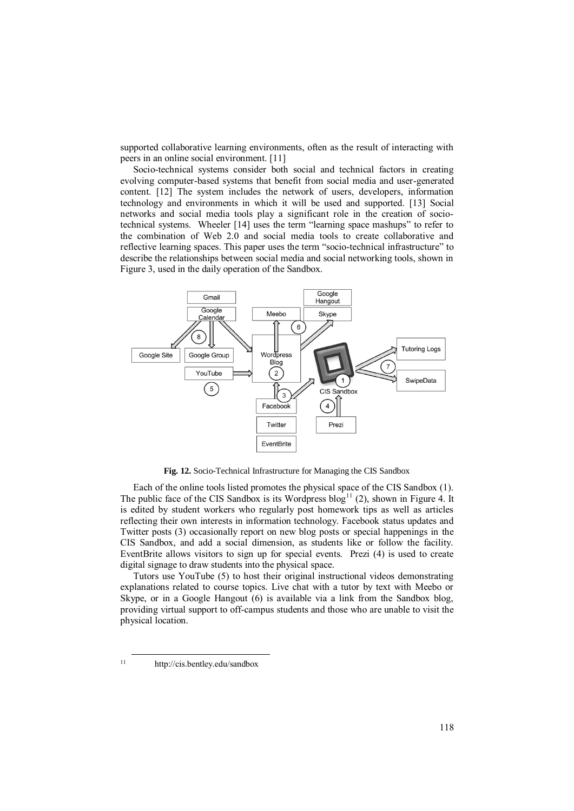supported collaborative learning environments, often as the result of interacting with peers in an online social environment. [\[11\]](#page-9-10)

Socio-technical systems consider both social and technical factors in creating evolving computer-based systems that benefit from social media and user-generated content. [\[12\]](#page-9-11) The system includes the network of users, developers, information technology and environments in which it will be used and supported. [\[13\]](#page-9-12) Social networks and social media tools play a significant role in the creation of sociotechnical systems. Wheeler [\[14\]](#page-9-13) uses the term "learning space mashups" to refer to the combination of Web 2.0 and social media tools to create collaborative and reflective learning spaces. This paper uses the term "socio-technical infrastructure" to describe the relationships between social media and social networking tools, shown in Figure 3, used in the daily operation of the Sandbox.



**Fig. 12.** Socio-Technical Infrastructure for Managing the CIS Sandbox

Each of the online tools listed promotes the physical space of the CIS Sandbox (1). The public face of the CIS Sandbox is its Wordpress  $blog<sup>11</sup>(2)$ , shown in Figure 4. It is edited by student workers who regularly post homework tips as well as articles reflecting their own interests in information technology. Facebook status updates and Twitter posts (3) occasionally report on new blog posts or special happenings in the CIS Sandbox, and add a social dimension, as students like or follow the facility. EventBrite allows visitors to sign up for special events. Prezi (4) is used to create digital signage to draw students into the physical space.

Tutors use YouTube (5) to host their original instructional videos demonstrating explanations related to course topics. Live chat with a tutor by text with Meebo or Skype, or in a Google Hangout (6) is available via a link from the Sandbox blog, providing virtual support to off-campus students and those who are unable to visit the physical location.

-

<sup>11</sup> http://cis.bentley.edu/sandbox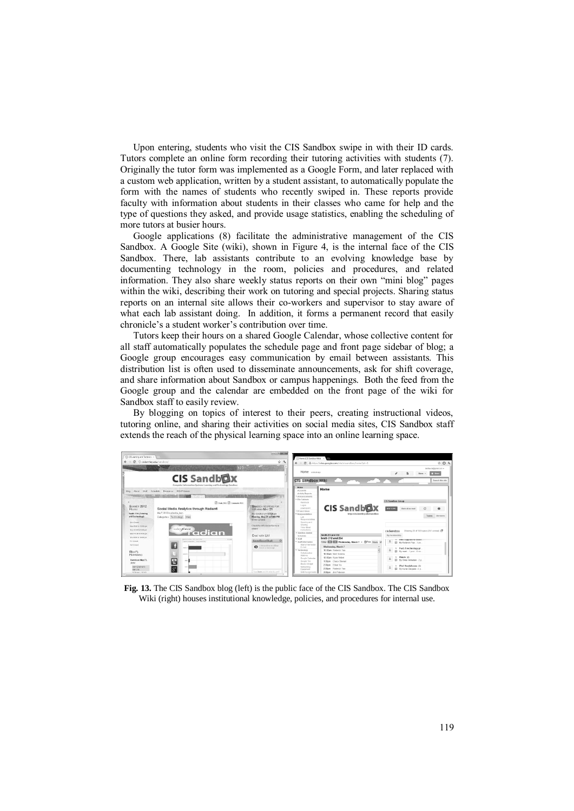Upon entering, students who visit the CIS Sandbox swipe in with their ID cards. Tutors complete an online form recording their tutoring activities with students (7). Originally the tutor form was implemented as a Google Form, and later replaced with a custom web application, written by a student assistant, to automatically populate the form with the names of students who recently swiped in. These reports provide faculty with information about students in their classes who came for help and the type of questions they asked, and provide usage statistics, enabling the scheduling of more tutors at busier hours.

Google applications (8) facilitate the administrative management of the CIS Sandbox. A Google Site (wiki), shown in Figure 4, is the internal face of the CIS Sandbox. There, lab assistants contribute to an evolving knowledge base by documenting technology in the room, policies and procedures, and related information. They also share weekly status reports on their own "mini blog" pages within the wiki, describing their work on tutoring and special projects. Sharing status reports on an internal site allows their co-workers and supervisor to stay aware of what each lab assistant doing. In addition, it forms a permanent record that easily chronicle's a student worker's contribution over time.

Tutors keep their hours on a shared Google Calendar, whose collective content for all staff automatically populates the schedule page and front page sidebar of blog; a Google group encourages easy communication by email between assistants. This distribution list is often used to disseminate announcements, ask for shift coverage, and share information about Sandbox or campus happenings. Both the feed from the Google group and the calendar are embedded on the front page of the wiki for Sandbox staff to easily review.

By blogging on topics of interest to their peers, creating instructional videos, tutoring online, and sharing their activities on social media sites, CIS Sandbox staff extends the reach of the physical learning space into an online learning space.



**Fig. 13.** The CIS Sandbox blog (left) is the public face of the CIS Sandbox. The CIS Sandbox Wiki (right) houses institutional knowledge, policies, and procedures for internal use.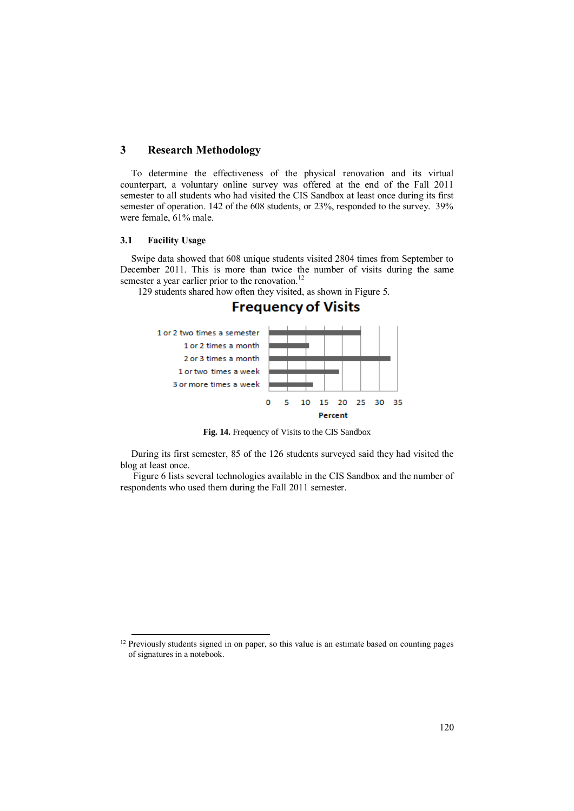## **3 Research Methodology**

To determine the effectiveness of the physical renovation and its virtual counterpart, a voluntary online survey was offered at the end of the Fall 2011 semester to all students who had visited the CIS Sandbox at least once during its first semester of operation. 142 of the 608 students, or 23%, responded to the survey. 39% were female, 61% male.

#### **3.1 Facility Usage**

-

Swipe data showed that 608 unique students visited 2804 times from September to December 2011. This is more than twice the number of visits during the same semester a year earlier prior to the renovation.<sup>12</sup>

129 students shared how often they visited, as shown in Figure 5.



# **Frequency of Visits**

**Fig. 14.** Frequency of Visits to the CIS Sandbox

During its first semester, 85 of the 126 students surveyed said they had visited the blog at least once.

Figure 6 lists several technologies available in the CIS Sandbox and the number of respondents who used them during the Fall 2011 semester.

<sup>&</sup>lt;sup>12</sup> Previously students signed in on paper, so this value is an estimate based on counting pages of signatures in a notebook.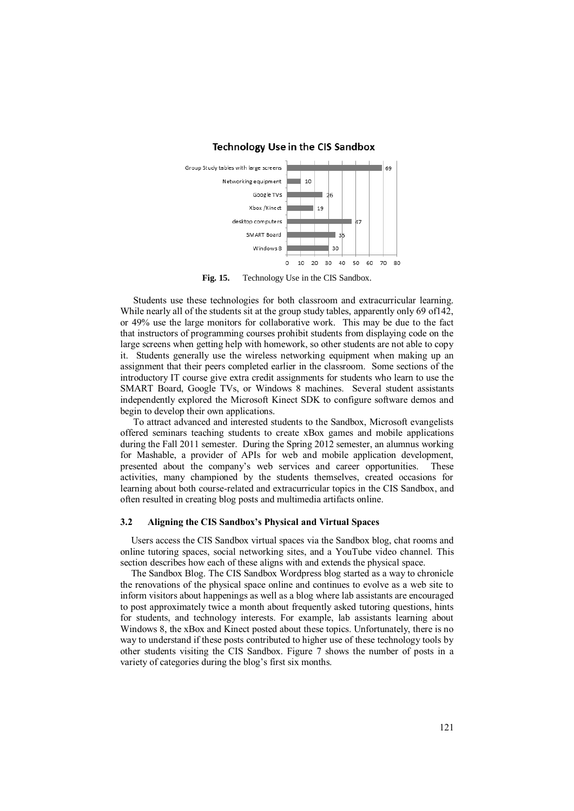

### **Technology Use in the CIS Sandbox**

**Fig. 15.** Technology Use in the CIS Sandbox.

Students use these technologies for both classroom and extracurricular learning. While nearly all of the students sit at the group study tables, apparently only 69 of142, or 49% use the large monitors for collaborative work. This may be due to the fact that instructors of programming courses prohibit students from displaying code on the large screens when getting help with homework, so other students are not able to copy it. Students generally use the wireless networking equipment when making up an assignment that their peers completed earlier in the classroom. Some sections of the introductory IT course give extra credit assignments for students who learn to use the SMART Board, Google TVs, or Windows 8 machines. Several student assistants independently explored the Microsoft Kinect SDK to configure software demos and begin to develop their own applications.

To attract advanced and interested students to the Sandbox, Microsoft evangelists offered seminars teaching students to create xBox games and mobile applications during the Fall 2011 semester. During the Spring 2012 semester, an alumnus working for Mashable, a provider of APIs for web and mobile application development, presented about the company's web services and career opportunities. These activities, many championed by the students themselves, created occasions for learning about both course-related and extracurricular topics in the CIS Sandbox, and often resulted in creating blog posts and multimedia artifacts online.

#### **3.2 Aligning the CIS Sandbox's Physical and Virtual Spaces**

Users access the CIS Sandbox virtual spaces via the Sandbox blog, chat rooms and online tutoring spaces, social networking sites, and a YouTube video channel. This section describes how each of these aligns with and extends the physical space.

The Sandbox Blog. The CIS Sandbox Wordpress blog started as a way to chronicle the renovations of the physical space online and continues to evolve as a web site to inform visitors about happenings as well as a blog where lab assistants are encouraged to post approximately twice a month about frequently asked tutoring questions, hints for students, and technology interests. For example, lab assistants learning about Windows 8, the xBox and Kinect posted about these topics. Unfortunately, there is no way to understand if these posts contributed to higher use of these technology tools by other students visiting the CIS Sandbox. Figure 7 shows the number of posts in a variety of categories during the blog's first six months.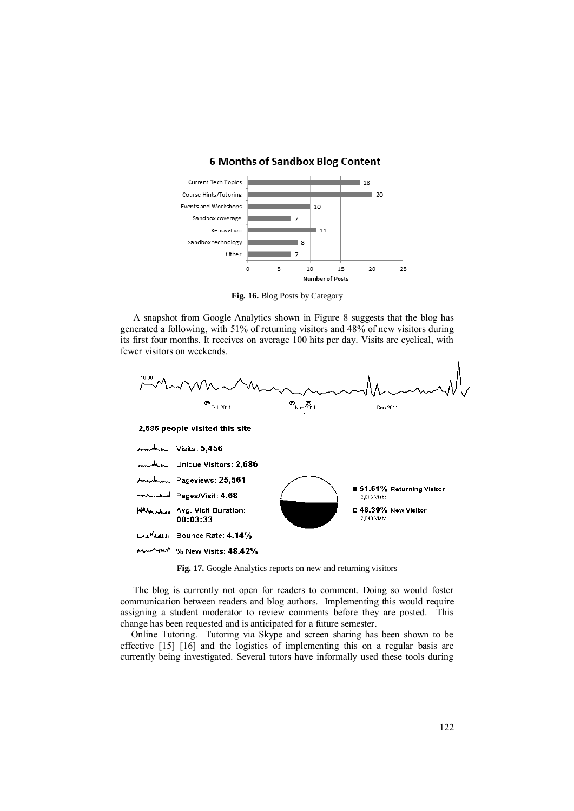

## **6 Months of Sandbox Blog Content**

**Fig. 16.** Blog Posts by Category

A snapshot from Google Analytics shown in Figure 8 suggests that the blog has generated a following, with 51% of returning visitors and 48% of new visitors during its first four months. It receives on average 100 hits per day. Visits are cyclical, with fewer visitors on weekends.



**Fig. 17.** Google Analytics reports on new and returning visitors

The blog is currently not open for readers to comment. Doing so would foster communication between readers and blog authors. Implementing this would require assigning a student moderator to review comments before they are posted. This change has been requested and is anticipated for a future semester.

Online Tutoring. Tutoring via Skype and screen sharing has been shown to be effective [\[15\]](#page-9-14) [\[16\]](#page-9-15) and the logistics of implementing this on a regular basis are currently being investigated. Several tutors have informally used these tools during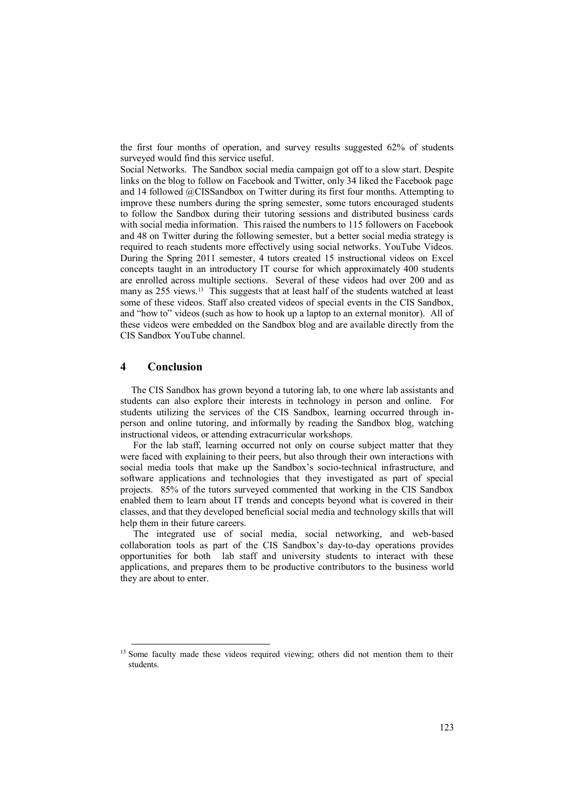the first four months of operation, and survey results suggested 62% of students surveyed would find this service useful.

Social Networks. The Sandbox social media campaign got off to a slow start. Despite links on the blog to follow on Facebook and Twitter, only 34 liked the Facebook page and 14 followed @CISSandbox on Twitter during its first four months. Attempting to improve these numbers during the spring semester, some tutors encouraged students to follow the Sandbox during their tutoring sessions and distributed business cards with social media information. This raised the numbers to 115 followers on Facebook and 48 on Twitter during the following semester, but a better social media strategy is required to reach students more effectively using social networks. YouTube Videos. During the Spring 2011 semester, 4 tutors created 15 instructional videos on Excel concepts taught in an introductory IT course for which approximately 400 students are enrolled across multiple sections. Several of these videos had over 200 and as many as 255 views.<sup>13</sup> This suggests that at least half of the students watched at least some of these videos. Staff also created videos of special events in the CIS Sandbox, and "how to" videos (such as how to hook up a laptop to an external monitor). All of these videos were embedded on the Sandbox blog and are available directly from the CIS Sandbox YouTube channel.

## **4 Conclusion**

1

The CIS Sandbox has grown beyond a tutoring lab, to one where lab assistants and students can also explore their interests in technology in person and online. For students utilizing the services of the CIS Sandbox, learning occurred through inperson and online tutoring, and informally by reading the Sandbox blog, watching instructional videos, or attending extracurricular workshops.

For the lab staff, learning occurred not only on course subject matter that they were faced with explaining to their peers, but also through their own interactions with social media tools that make up the Sandbox's socio-technical infrastructure, and software applications and technologies that they investigated as part of special projects. 85% of the tutors surveyed commented that working in the CIS Sandbox enabled them to learn about IT trends and concepts beyond what is covered in their classes, and that they developed beneficial social media and technology skills that will help them in their future careers.

The integrated use of social media, social networking, and web-based collaboration tools as part of the CIS Sandbox's day-to-day operations provides opportunities for both lab staff and university students to interact with these applications, and prepares them to be productive contributors to the business world they are about to enter.

<sup>&</sup>lt;sup>13</sup> Some faculty made these videos required viewing; others did not mention them to their students.